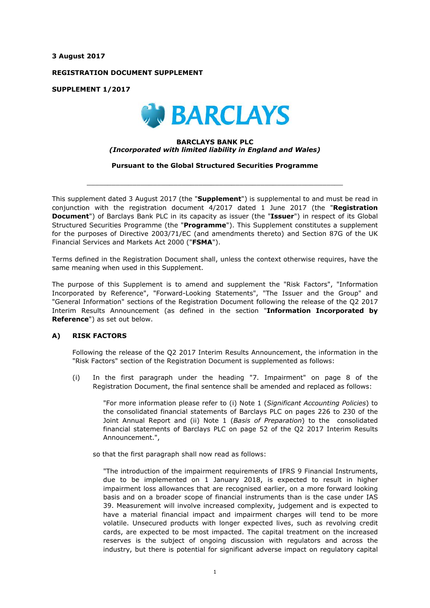**3 August 2017**

**REGISTRATION DOCUMENT SUPPLEMENT**

**SUPPLEMENT 1/2017**



# **BARCLAYS BANK PLC** *(Incorporated with limited liability in England and Wales)*

**Pursuant to the Global Structured Securities Programme**

 $\_$  ,  $\_$  ,  $\_$  ,  $\_$  ,  $\_$  ,  $\_$  ,  $\_$  ,  $\_$  ,  $\_$  ,  $\_$  ,  $\_$  ,  $\_$  ,  $\_$  ,  $\_$  ,  $\_$  ,  $\_$  ,  $\_$  ,  $\_$  ,  $\_$  ,  $\_$  ,  $\_$  ,  $\_$  ,  $\_$  ,  $\_$  ,  $\_$  ,  $\_$  ,  $\_$  ,  $\_$  ,  $\_$  ,  $\_$  ,  $\_$  ,  $\_$  ,  $\_$  ,  $\_$  ,  $\_$  ,  $\_$  ,  $\_$  ,

This supplement dated 3 August 2017 (the "**Supplement**") is supplemental to and must be read in conjunction with the registration document 4/2017 dated 1 June 2017 (the "**Registration Document**") of Barclays Bank PLC in its capacity as issuer (the "**Issuer**") in respect of its Global Structured Securities Programme (the "**Programme**"). This Supplement constitutes a supplement for the purposes of Directive 2003/71/EC (and amendments thereto) and Section 87G of the UK Financial Services and Markets Act 2000 ("**FSMA**").

Terms defined in the Registration Document shall, unless the context otherwise requires, have the same meaning when used in this Supplement.

The purpose of this Supplement is to amend and supplement the "Risk Factors", "Information Incorporated by Reference", "Forward-Looking Statements", "The Issuer and the Group" and "General Information" sections of the Registration Document following the release of the Q2 2017 Interim Results Announcement (as defined in the section "**Information Incorporated by Reference**") as set out below.

# **A) RISK FACTORS**

Following the release of the Q2 2017 Interim Results Announcement, the information in the "Risk Factors" section of the Registration Document is supplemented as follows:

(i) In the first paragraph under the heading "7. Impairment" on page 8 of the Registration Document, the final sentence shall be amended and replaced as follows:

"For more information please refer to (i) Note 1 (*Significant Accounting Policies*) to the consolidated financial statements of Barclays PLC on pages 226 to 230 of the Joint Annual Report and (ii) Note 1 (*Basis of Preparation*) to the consolidated financial statements of Barclays PLC on page 52 of the Q2 2017 Interim Results Announcement.",

so that the first paragraph shall now read as follows:

"The introduction of the impairment requirements of IFRS 9 Financial Instruments, due to be implemented on 1 January 2018, is expected to result in higher impairment loss allowances that are recognised earlier, on a more forward looking basis and on a broader scope of financial instruments than is the case under IAS 39. Measurement will involve increased complexity, judgement and is expected to have a material financial impact and impairment charges will tend to be more volatile. Unsecured products with longer expected lives, such as revolving credit cards, are expected to be most impacted. The capital treatment on the increased reserves is the subject of ongoing discussion with regulators and across the industry, but there is potential for significant adverse impact on regulatory capital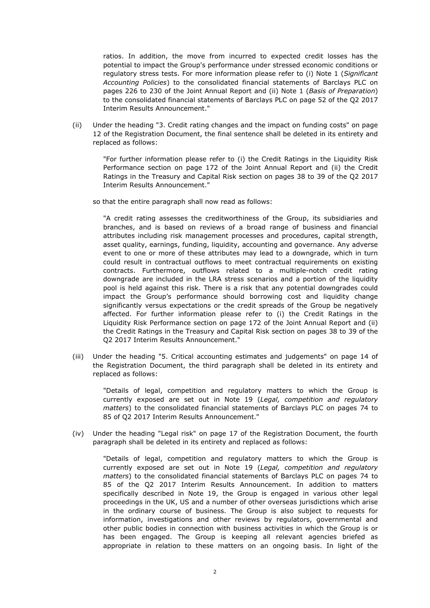ratios. In addition, the move from incurred to expected credit losses has the potential to impact the Group's performance under stressed economic conditions or regulatory stress tests. For more information please refer to (i) Note 1 (*Significant Accounting Policies*) to the consolidated financial statements of Barclays PLC on pages 226 to 230 of the Joint Annual Report and (ii) Note 1 (*Basis of Preparation*) to the consolidated financial statements of Barclays PLC on page 52 of the Q2 2017 Interim Results Announcement."

(ii) Under the heading "3. Credit rating changes and the impact on funding costs" on page 12 of the Registration Document, the final sentence shall be deleted in its entirety and replaced as follows:

"For further information please refer to (i) the Credit Ratings in the Liquidity Risk Performance section on page 172 of the Joint Annual Report and (ii) the Credit Ratings in the Treasury and Capital Risk section on pages 38 to 39 of the Q2 2017 Interim Results Announcement."

so that the entire paragraph shall now read as follows:

"A credit rating assesses the creditworthiness of the Group, its subsidiaries and branches, and is based on reviews of a broad range of business and financial attributes including risk management processes and procedures, capital strength, asset quality, earnings, funding, liquidity, accounting and governance. Any adverse event to one or more of these attributes may lead to a downgrade, which in turn could result in contractual outflows to meet contractual requirements on existing contracts. Furthermore, outflows related to a multiple-notch credit rating downgrade are included in the LRA stress scenarios and a portion of the liquidity pool is held against this risk. There is a risk that any potential downgrades could impact the Group's performance should borrowing cost and liquidity change significantly versus expectations or the credit spreads of the Group be negatively affected. For further information please refer to (i) the Credit Ratings in the Liquidity Risk Performance section on page 172 of the Joint Annual Report and (ii) the Credit Ratings in the Treasury and Capital Risk section on pages 38 to 39 of the Q2 2017 Interim Results Announcement."

(iii) Under the heading "5. Critical accounting estimates and judgements" on page 14 of the Registration Document, the third paragraph shall be deleted in its entirety and replaced as follows:

"Details of legal, competition and regulatory matters to which the Group is currently exposed are set out in Note 19 (*Legal, competition and regulatory matters*) to the consolidated financial statements of Barclays PLC on pages 74 to 85 of Q2 2017 Interim Results Announcement."

(iv) Under the heading "Legal risk" on page 17 of the Registration Document, the fourth paragraph shall be deleted in its entirety and replaced as follows:

"Details of legal, competition and regulatory matters to which the Group is currently exposed are set out in Note 19 (*Legal, competition and regulatory matters*) to the consolidated financial statements of Barclays PLC on pages 74 to 85 of the Q2 2017 Interim Results Announcement. In addition to matters specifically described in Note 19, the Group is engaged in various other legal proceedings in the UK, US and a number of other overseas jurisdictions which arise in the ordinary course of business. The Group is also subject to requests for information, investigations and other reviews by regulators, governmental and other public bodies in connection with business activities in which the Group is or has been engaged. The Group is keeping all relevant agencies briefed as appropriate in relation to these matters on an ongoing basis. In light of the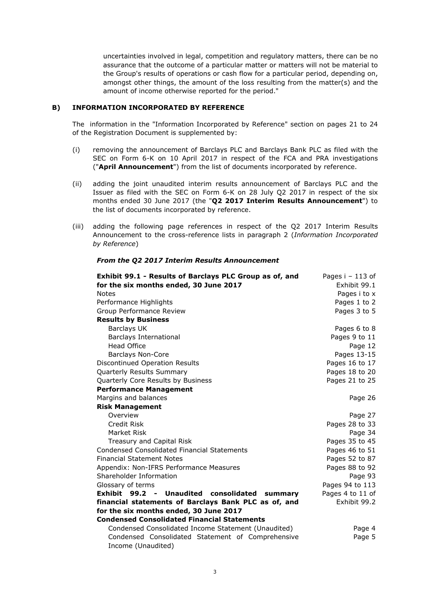uncertainties involved in legal, competition and regulatory matters, there can be no assurance that the outcome of a particular matter or matters will not be material to the Group's results of operations or cash flow for a particular period, depending on, amongst other things, the amount of the loss resulting from the matter(s) and the amount of income otherwise reported for the period."

# **B) INFORMATION INCORPORATED BY REFERENCE**

The information in the "Information Incorporated by Reference" section on pages 21 to 24 of the Registration Document is supplemented by:

- (i) removing the announcement of Barclays PLC and Barclays Bank PLC as filed with the SEC on Form 6-K on 10 April 2017 in respect of the FCA and PRA investigations ("**April Announcement**") from the list of documents incorporated by reference.
- (ii) adding the joint unaudited interim results announcement of Barclays PLC and the Issuer as filed with the SEC on Form 6-K on 28 July Q2 2017 in respect of the six months ended 30 June 2017 (the "**Q2 2017 Interim Results Announcement**") to the list of documents incorporated by reference.
- (iii) adding the following page references in respect of the Q2 2017 Interim Results Announcement to the cross-reference lists in paragraph 2 (*Information Incorporated by Reference*)

| Exhibit 99.1 - Results of Barclays PLC Group as of, and    | Pages $i - 113$ of |
|------------------------------------------------------------|--------------------|
| for the six months ended, 30 June 2017                     | Exhibit 99.1       |
| <b>Notes</b>                                               | Pages i to x       |
| Performance Highlights                                     | Pages 1 to 2       |
| Group Performance Review                                   | Pages 3 to 5       |
| <b>Results by Business</b>                                 |                    |
| <b>Barclays UK</b>                                         | Pages 6 to 8       |
| <b>Barclays International</b>                              | Pages 9 to 11      |
| <b>Head Office</b>                                         | Page 12            |
| <b>Barclays Non-Core</b>                                   | Pages 13-15        |
| Discontinued Operation Results                             | Pages 16 to 17     |
| Quarterly Results Summary                                  | Pages 18 to 20     |
| Quarterly Core Results by Business                         | Pages 21 to 25     |
| <b>Performance Management</b>                              |                    |
| Margins and balances                                       | Page 26            |
| <b>Risk Management</b>                                     |                    |
| Overview                                                   | Page 27            |
| Credit Risk                                                | Pages 28 to 33     |
| Market Risk                                                | Page 34            |
| Treasury and Capital Risk                                  | Pages 35 to 45     |
| <b>Condensed Consolidated Financial Statements</b>         | Pages 46 to 51     |
| <b>Financial Statement Notes</b>                           | Pages 52 to 87     |
| Appendix: Non-IFRS Performance Measures                    | Pages 88 to 92     |
| Shareholder Information                                    | Page 93            |
| Glossary of terms                                          | Pages 94 to 113    |
| <b>Exhibit 99.2 -</b><br>Unaudited consolidated<br>summary | Pages 4 to 11 of   |
| financial statements of Barclays Bank PLC as of, and       | Exhibit 99.2       |
| for the six months ended, 30 June 2017                     |                    |
| <b>Condensed Consolidated Financial Statements</b>         |                    |
| Condensed Consolidated Income Statement (Unaudited)        | Page 4             |
| Condensed Consolidated Statement of Comprehensive          | Page 5             |
| Income (Unaudited)                                         |                    |

#### *From the Q2 2017 Interim Results Announcement*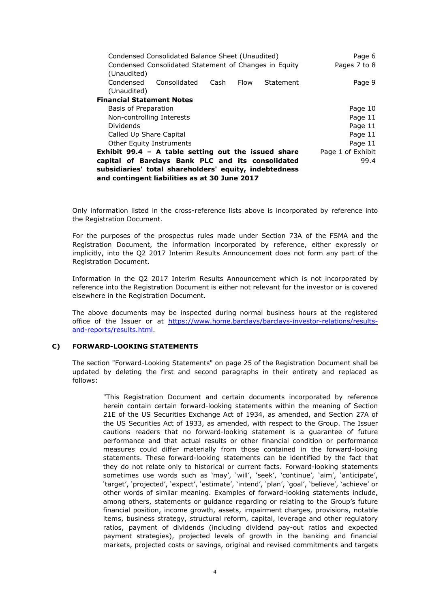| Condensed Consolidated Balance Sheet (Unaudited)       | Page 6            |  |  |
|--------------------------------------------------------|-------------------|--|--|
| Condensed Consolidated Statement of Changes in Equity  | Pages 7 to 8      |  |  |
| (Unaudited)                                            |                   |  |  |
| Condensed<br>Consolidated<br>Cash<br>Flow<br>Statement | Page 9            |  |  |
| (Unaudited)                                            |                   |  |  |
| <b>Financial Statement Notes</b>                       |                   |  |  |
| Basis of Preparation                                   | Page 10           |  |  |
| Non-controlling Interests                              | Page 11           |  |  |
| Dividends                                              | Page 11           |  |  |
| Called Up Share Capital                                | Page 11           |  |  |
| <b>Other Equity Instruments</b>                        | Page 11           |  |  |
| Exhibit 99.4 $-$ A table setting out the issued share  | Page 1 of Exhibit |  |  |
| capital of Barclays Bank PLC and its consolidated      | 99.4              |  |  |
| subsidiaries' total shareholders' equity, indebtedness |                   |  |  |
| and contingent liabilities as at 30 June 2017          |                   |  |  |

Only information listed in the cross-reference lists above is incorporated by reference into the Registration Document.

For the purposes of the prospectus rules made under Section 73A of the FSMA and the Registration Document, the information incorporated by reference, either expressly or implicitly, into the Q2 2017 Interim Results Announcement does not form any part of the Registration Document.

Information in the Q2 2017 Interim Results Announcement which is not incorporated by reference into the Registration Document is either not relevant for the investor or is covered elsewhere in the Registration Document.

The above documents may be inspected during normal business hours at the registered office of the Issuer or at https://www.home.barclays/barclays-investor-relations/resultsand-reports/results.html.

#### **C) FORWARD-LOOKING STATEMENTS**

The section "Forward-Looking Statements" on page 25 of the Registration Document shall be updated by deleting the first and second paragraphs in their entirety and replaced as follows:

"This Registration Document and certain documents incorporated by reference herein contain certain forward-looking statements within the meaning of Section 21E of the US Securities Exchange Act of 1934, as amended, and Section 27A of the US Securities Act of 1933, as amended, with respect to the Group. The Issuer cautions readers that no forward-looking statement is a guarantee of future performance and that actual results or other financial condition or performance measures could differ materially from those contained in the forward-looking statements. These forward-looking statements can be identified by the fact that they do not relate only to historical or current facts. Forward-looking statements sometimes use words such as 'may', 'will', 'seek', 'continue', 'aim', 'anticipate', 'target', 'projected', 'expect', 'estimate', 'intend', 'plan', 'goal', 'believe', 'achieve' or other words of similar meaning. Examples of forward-looking statements include, among others, statements or guidance regarding or relating to the Group's future financial position, income growth, assets, impairment charges, provisions, notable items, business strategy, structural reform, capital, leverage and other regulatory ratios, payment of dividends (including dividend pay-out ratios and expected payment strategies), projected levels of growth in the banking and financial markets, projected costs or savings, original and revised commitments and targets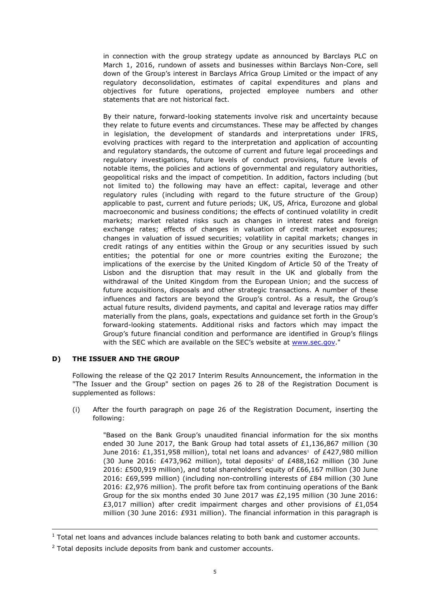in connection with the group strategy update as announced by Barclays PLC on March 1, 2016, rundown of assets and businesses within Barclays Non-Core, sell down of the Group's interest in Barclays Africa Group Limited or the impact of any regulatory deconsolidation, estimates of capital expenditures and plans and objectives for future operations, projected employee numbers and other statements that are not historical fact.

By their nature, forward-looking statements involve risk and uncertainty because they relate to future events and circumstances. These may be affected by changes in legislation, the development of standards and interpretations under IFRS, evolving practices with regard to the interpretation and application of accounting and regulatory standards, the outcome of current and future legal proceedings and regulatory investigations, future levels of conduct provisions, future levels of notable items, the policies and actions of governmental and regulatory authorities, geopolitical risks and the impact of competition. In addition, factors including (but not limited to) the following may have an effect: capital, leverage and other regulatory rules (including with regard to the future structure of the Group) applicable to past, current and future periods; UK, US, Africa, Eurozone and global macroeconomic and business conditions; the effects of continued volatility in credit markets; market related risks such as changes in interest rates and foreign exchange rates; effects of changes in valuation of credit market exposures; changes in valuation of issued securities; volatility in capital markets; changes in credit ratings of any entities within the Group or any securities issued by such entities; the potential for one or more countries exiting the Eurozone; the implications of the exercise by the United Kingdom of Article 50 of the Treaty of Lisbon and the disruption that may result in the UK and globally from the withdrawal of the United Kingdom from the European Union; and the success of future acquisitions, disposals and other strategic transactions. A number of these influences and factors are beyond the Group's control. As a result, the Group's actual future results, dividend payments, and capital and leverage ratios may differ materially from the plans, goals, expectations and guidance set forth in the Group's forward-looking statements. Additional risks and factors which may impact the Group's future financial condition and performance are identified in Group's filings with the SEC which are available on the SEC's website at www.sec.gov."

# **D) THE ISSUER AND THE GROUP**

-

Following the release of the Q2 2017 Interim Results Announcement, the information in the "The Issuer and the Group" section on pages 26 to 28 of the Registration Document is supplemented as follows:

(i) After the fourth paragraph on page 26 of the Registration Document, inserting the following:

> "Based on the Bank Group's unaudited financial information for the six months ended 30 June 2017, the Bank Group had total assets of  $£1,136,867$  million (30 June 2016: £1,351,958 million), total net loans and advances<sup>1</sup> of £427,980 million (30 June 2016:  $£473,962$  million), total deposits<sup>2</sup> of  $£488,162$  million (30 June 2016: £500,919 million), and total shareholders' equity of £66,167 million (30 June 2016: £69,599 million) (including non-controlling interests of £84 million (30 June 2016: £2,976 million). The profit before tax from continuing operations of the Bank Group for the six months ended 30 June 2017 was £2,195 million (30 June 2016: £3,017 million) after credit impairment charges and other provisions of £1,054 million (30 June 2016: £931 million). The financial information in this paragraph is

 $1$  Total net loans and advances include balances relating to both bank and customer accounts.

 $2$  Total deposits include deposits from bank and customer accounts.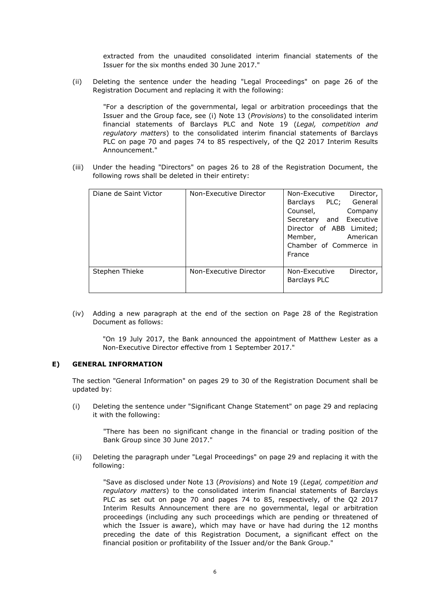extracted from the unaudited consolidated interim financial statements of the Issuer for the six months ended 30 June 2017."

(ii) Deleting the sentence under the heading "Legal Proceedings" on page 26 of the Registration Document and replacing it with the following:

"For a description of the governmental, legal or arbitration proceedings that the Issuer and the Group face, see (i) Note 13 (*Provisions*) to the consolidated interim financial statements of Barclays PLC and Note 19 (*Legal, competition and regulatory matters*) to the consolidated interim financial statements of Barclays PLC on page 70 and pages 74 to 85 respectively, of the Q2 2017 Interim Results Announcement."

(iii) Under the heading "Directors" on pages 26 to 28 of the Registration Document, the following rows shall be deleted in their entirety:

| Diane de Saint Victor | Non-Executive Director | Non-Executive<br>Director,<br>PLC; General<br>Barclays<br>Counsel,<br>Company<br>Secretary and Executive<br>Director of ABB Limited;<br>Member,<br>American<br>Chamber of Commerce in<br>France |
|-----------------------|------------------------|-------------------------------------------------------------------------------------------------------------------------------------------------------------------------------------------------|
| Stephen Thieke        | Non-Executive Director | Non-Executive<br>Director,<br>Barclays PLC                                                                                                                                                      |

(iv) Adding a new paragraph at the end of the section on Page 28 of the Registration Document as follows:

"On 19 July 2017, the Bank announced the appointment of Matthew Lester as a Non-Executive Director effective from 1 September 2017."

# **E) GENERAL INFORMATION**

The section "General Information" on pages 29 to 30 of the Registration Document shall be updated by:

(i) Deleting the sentence under "Significant Change Statement" on page 29 and replacing it with the following:

"There has been no significant change in the financial or trading position of the Bank Group since 30 June 2017."

(ii) Deleting the paragraph under "Legal Proceedings" on page 29 and replacing it with the following:

"Save as disclosed under Note 13 (*Provisions*) and Note 19 (*Legal, competition and regulatory matters*) to the consolidated interim financial statements of Barclays PLC as set out on page 70 and pages 74 to 85, respectively, of the Q2 2017 Interim Results Announcement there are no governmental, legal or arbitration proceedings (including any such proceedings which are pending or threatened of which the Issuer is aware), which may have or have had during the 12 months preceding the date of this Registration Document, a significant effect on the financial position or profitability of the Issuer and/or the Bank Group."